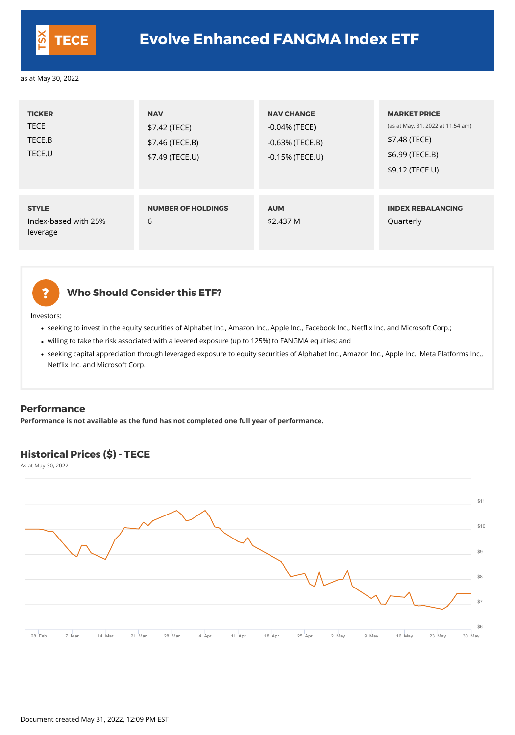## **Who Should Consider this ETF?**

Investors:

- seeking to invest in the equity securities of Alphabet Inc., Amazon Inc., Apple Inc., Facebook Inc., Netflix Inc. and Microsoft Corp.;
- willing to take the risk associated with a levered exposure (up to 125%) to FANGMA equities; and
- seeking capital appreciation through leveraged exposure to equity securities of Alphabet Inc., Amazon Inc., Apple Inc., Meta Platforms Inc., Netflix Inc. and Microsoft Corp.

| <b>TICKER</b><br><b>TECE</b><br>TECE.B<br>TECE.U | <b>NAV</b><br>\$7.42 (TECE)<br>\$7.46 (TECE.B)<br>\$7.49 (TECE.U) | <b>NAV CHANGE</b><br>$-0.04\%$ (TECE)<br>$-0.63\%$ (TECE.B)<br>$-0.15%$ (TECE.U) | <b>MARKET PRICE</b><br>(as at May. 31, 2022 at 11:54 am)<br>\$7.48 (TECE)<br>\$6.99 (TECE.B)<br>\$9.12 (TECE.U) |
|--------------------------------------------------|-------------------------------------------------------------------|----------------------------------------------------------------------------------|-----------------------------------------------------------------------------------------------------------------|
| <b>STYLE</b><br>Index-based with 25%<br>leverage | <b>NUMBER OF HOLDINGS</b><br>6                                    | <b>AUM</b><br>\$2.437 M                                                          | <b>INDEX REBALANCING</b><br>Quarterly                                                                           |

# 2

#### **Performance**

**Performance is not available as the fund has not completed one full year of performance.**

### **Historical Prices (\$) - TECE**

As at May 30, 2022





## **TECE Evolve Enhanced FANGMA Index ETF**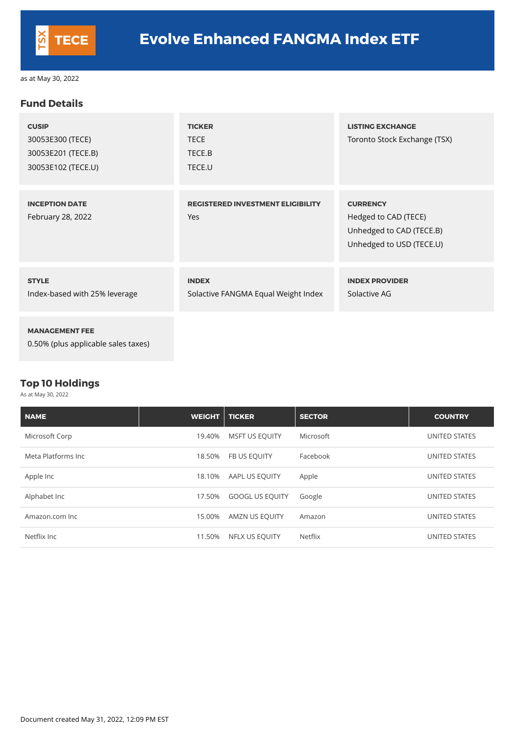#### **Fund Details**

| <b>CUSIP</b><br>30053E300 (TECE)<br>30053E201 (TECE.B)<br>30053E102 (TECE.U) | <b>TICKER</b><br><b>TECE</b><br>TECE.B<br>TECE.U    | <b>LISTING EXCHANGE</b><br>Toronto Stock Exchange (TSX)                                         |
|------------------------------------------------------------------------------|-----------------------------------------------------|-------------------------------------------------------------------------------------------------|
| <b>INCEPTION DATE</b><br>February 28, 2022                                   | <b>REGISTERED INVESTMENT ELIGIBILITY</b><br>Yes     | <b>CURRENCY</b><br>Hedged to CAD (TECE)<br>Unhedged to CAD (TECE.B)<br>Unhedged to USD (TECE.U) |
| <b>STYLE</b><br>Index-based with 25% leverage                                | <b>INDEX</b><br>Solactive FANGMA Equal Weight Index | <b>INDEX PROVIDER</b><br>Solactive AG                                                           |
| <b>MANAGEMENT FEE</b><br>0.50% (plus applicable sales taxes)                 |                                                     |                                                                                                 |

#### **Top 10 Holdings**

As at May 30, 2022

| <b>NAME</b>        | WEIGHT | <b>TICKER</b>          | <b>SECTOR</b> | <b>COUNTRY</b> |
|--------------------|--------|------------------------|---------------|----------------|
| Microsoft Corp     | 19.40% | <b>MSFT US EQUITY</b>  | Microsoft     | UNITED STATES  |
| Meta Platforms Inc | 18.50% | FB US EQUITY           | Facebook      | UNITED STATES  |
| Apple Inc          | 18.10% | AAPL US EQUITY         | Apple         | UNITED STATES  |
| Alphabet Inc       | 17.50% | <b>GOOGL US EQUITY</b> | Google        | UNITED STATES  |

| Amazon.com Inc | 15.00% AMZN US EQUITY | Amazon  | UNITED STATES |
|----------------|-----------------------|---------|---------------|
| Netflix Inc    | 11.50% NFLX US EQUITY | Netflix | UNITED STATES |

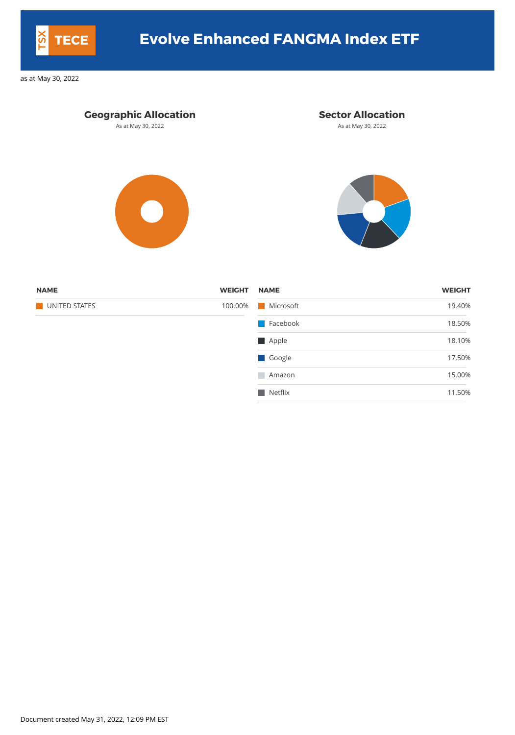### **Geographic Allocation Sector Allocation**

As at May 30, 2022 **As at May 30, 2022** As at May 30, 2022





| <b>WEIGHT</b> |
|---------------|
| 19.40%        |
| 18.50%        |
| 18.10%        |
| 17.50%        |
| 15.00%        |
| 11.50%        |
|               |

Document created May 31, 2022, 12:09 PM EST



## **TECE Evolve Enhanced FANGMA Index ETF**